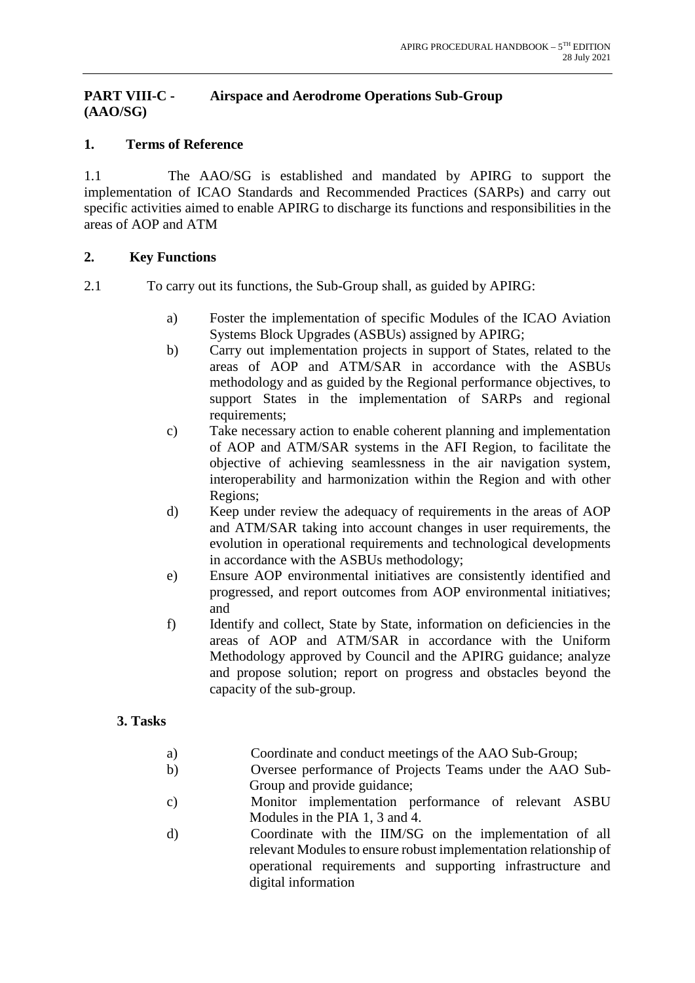## **PART VIII-C - Airspace and Aerodrome Operations Sub-Group (AAO/SG)**

## **1. Terms of Reference**

1.1 The AAO/SG is established and mandated by APIRG to support the implementation of ICAO Standards and Recommended Practices (SARPs) and carry out specific activities aimed to enable APIRG to discharge its functions and responsibilities in the areas of AOP and ATM

## **2. Key Functions**

- 2.1 To carry out its functions, the Sub-Group shall, as guided by APIRG:
	- a) Foster the implementation of specific Modules of the ICAO Aviation Systems Block Upgrades (ASBUs) assigned by APIRG;
	- b) Carry out implementation projects in support of States, related to the areas of AOP and ATM/SAR in accordance with the ASBUs methodology and as guided by the Regional performance objectives, to support States in the implementation of SARPs and regional requirements;
	- c) Take necessary action to enable coherent planning and implementation of AOP and ATM/SAR systems in the AFI Region, to facilitate the objective of achieving seamlessness in the air navigation system, interoperability and harmonization within the Region and with other Regions;
	- d) Keep under review the adequacy of requirements in the areas of AOP and ATM/SAR taking into account changes in user requirements, the evolution in operational requirements and technological developments in accordance with the ASBUs methodology;
	- e) Ensure AOP environmental initiatives are consistently identified and progressed, and report outcomes from AOP environmental initiatives; and
	- f) Identify and collect, State by State, information on deficiencies in the areas of AOP and ATM/SAR in accordance with the Uniform Methodology approved by Council and the APIRG guidance; analyze and propose solution; report on progress and obstacles beyond the capacity of the sub-group.

# **3. Tasks**

- a) Coordinate and conduct meetings of the AAO Sub-Group;
- b) Oversee performance of Projects Teams under the AAO Sub-Group and provide guidance;
- c) Monitor implementation performance of relevant ASBU Modules in the PIA 1, 3 and 4.
- d) Coordinate with the IIM/SG on the implementation of all relevant Modules to ensure robust implementation relationship of operational requirements and supporting infrastructure and digital information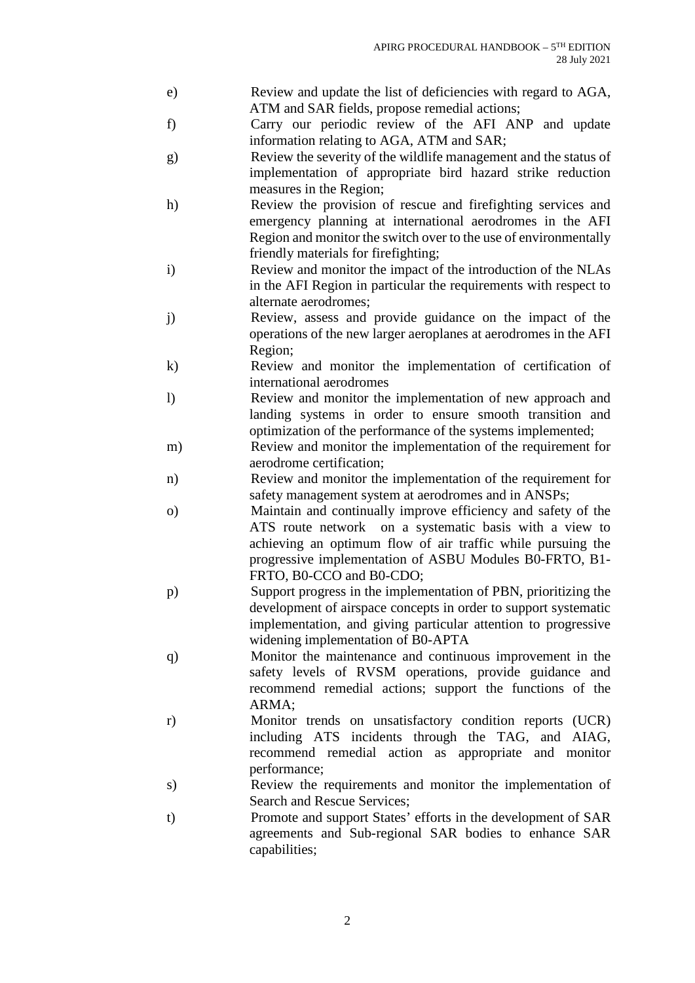- e) Review and update the list of deficiencies with regard to AGA, ATM and SAR fields, propose remedial actions;
- f) Carry our periodic review of the AFI ANP and update information relating to AGA, ATM and SAR;
- g) Review the severity of the wildlife management and the status of implementation of appropriate bird hazard strike reduction measures in the Region;
- h) Review the provision of rescue and firefighting services and emergency planning at international aerodromes in the AFI Region and monitor the switch over to the use of environmentally friendly materials for firefighting;
- i) Review and monitor the impact of the introduction of the NLAs in the AFI Region in particular the requirements with respect to alternate aerodromes;
- j) Review, assess and provide guidance on the impact of the operations of the new larger aeroplanes at aerodromes in the AFI Region;
- k) Review and monitor the implementation of certification of international aerodromes
- l) Review and monitor the implementation of new approach and landing systems in order to ensure smooth transition and optimization of the performance of the systems implemented;
- m) Review and monitor the implementation of the requirement for aerodrome certification;
- n) Review and monitor the implementation of the requirement for safety management system at aerodromes and in ANSPs;
- o) Maintain and continually improve efficiency and safety of the ATS route network on a systematic basis with a view to achieving an optimum flow of air traffic while pursuing the progressive implementation of ASBU Modules B0-FRTO, B1- FRTO, B0-CCO and B0-CDO;
- p) Support progress in the implementation of PBN, prioritizing the development of airspace concepts in order to support systematic implementation, and giving particular attention to progressive widening implementation of B0-APTA
- q) Monitor the maintenance and continuous improvement in the safety levels of RVSM operations, provide guidance and recommend remedial actions; support the functions of the ARMA;
- r) Monitor trends on unsatisfactory condition reports (UCR) including ATS incidents through the TAG, and AIAG, recommend remedial action as appropriate and monitor performance;
- s) Review the requirements and monitor the implementation of Search and Rescue Services;
- t) Promote and support States' efforts in the development of SAR agreements and Sub-regional SAR bodies to enhance SAR capabilities;